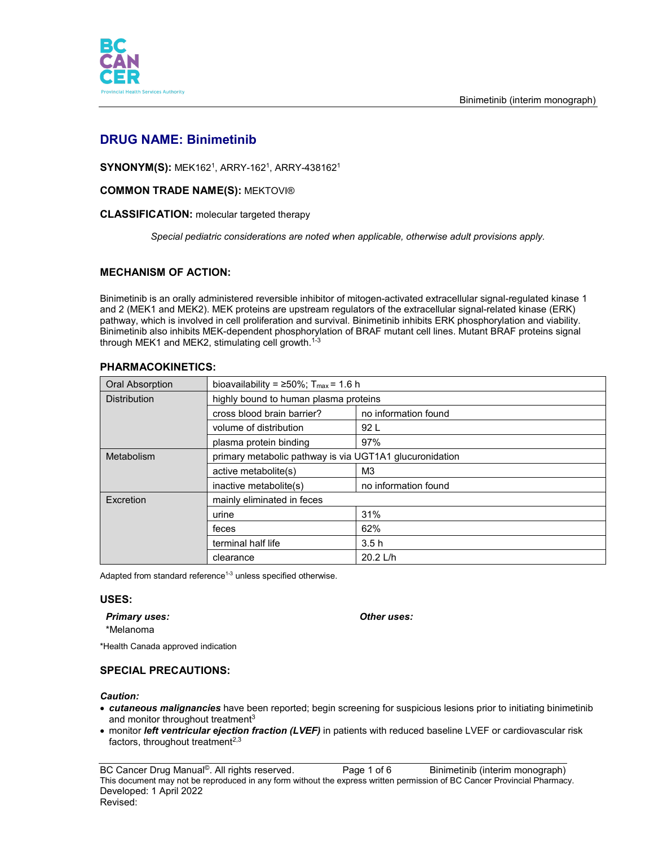

# **DRUG NAME: Binimetinib**

**SYNONYM(S):** MEK1621, ARRY-1621, ARRY-4381621

# **COMMON TRADE NAME(S):** MEKTOVI®

### **CLASSIFICATION:** molecular targeted therapy

*Special pediatric considerations are noted when applicable, otherwise adult provisions apply.*

# **MECHANISM OF ACTION:**

Binimetinib is an orally administered reversible inhibitor of mitogen-activated extracellular signal-regulated kinase 1 and 2 (MEK1 and MEK2). MEK proteins are upstream regulators of the extracellular signal-related kinase (ERK) pathway, which is involved in cell proliferation and survival. Binimetinib inhibits ERK phosphorylation and viability. Binimetinib also inhibits MEK-dependent phosphorylation of BRAF mutant cell lines. Mutant BRAF proteins signal through MEK1 and MEK2, stimulating cell growth.<sup>1-3</sup>

| <b>Oral Absorption</b> | bioavailability = $\geq$ 50%; T <sub>max</sub> = 1.6 h  |                      |  |
|------------------------|---------------------------------------------------------|----------------------|--|
| <b>Distribution</b>    | highly bound to human plasma proteins                   |                      |  |
|                        | cross blood brain barrier?                              | no information found |  |
|                        | volume of distribution                                  | 92 L                 |  |
|                        | plasma protein binding                                  | 97%                  |  |
| Metabolism             | primary metabolic pathway is via UGT1A1 glucuronidation |                      |  |
|                        | active metabolite(s)                                    | M <sub>3</sub>       |  |
|                        | inactive metabolite(s)                                  | no information found |  |
| Excretion              | mainly eliminated in feces                              |                      |  |
|                        | urine                                                   | 31%                  |  |
|                        | feces                                                   | 62%                  |  |
|                        | terminal half life                                      | 3.5h                 |  |
|                        | clearance                                               | 20.2 L/h             |  |

### **PHARMACOKINETICS:**

Adapted from standard reference<sup>1-3</sup> unless specified otherwise.

### **USES:**

*Primary uses: Other uses:* \*Melanoma

\*Health Canada approved indication

# **SPECIAL PRECAUTIONS:**

### *Caution:*

- *cutaneous malignancies* have been reported; begin screening for suspicious lesions prior to initiating binimetinib and monitor throughout treatment<sup>3</sup>
- monitor *left ventricular ejection fraction (LVEF)* in patients with reduced baseline LVEF or cardiovascular risk factors, throughout treatment $2,3$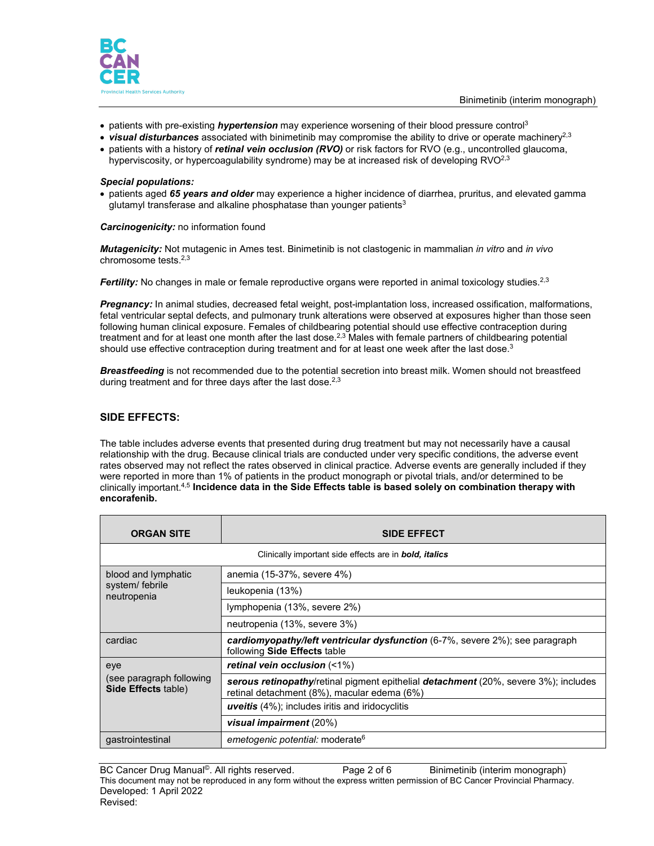

- patients with pre-existing *hypertension* may experience worsening of their blood pressure control3
- *visual disturbances* associated with binimetinib may compromise the ability to drive or operate machinery<sup>2,3</sup>
- patients with a history of *retinal vein occlusion (RVO)* or risk factors for RVO (e.g., uncontrolled glaucoma, hyperviscosity, or hypercoagulability syndrome) may be at increased risk of developing RVO<sup>2,3</sup>

#### *Special populations:*

• patients aged *65 years and older* may experience a higher incidence of diarrhea, pruritus, and elevated gamma glutamyl transferase and alkaline phosphatase than younger patients $3$ 

*Carcinogenicity:* no information found

*Mutagenicity:* Not mutagenic in Ames test. Binimetinib is not clastogenic in mammalian *in vitro* and *in vivo* chromosome tests.2,3

*Fertility:* No changes in male or female reproductive organs were reported in animal toxicology studies. 2,3

*Pregnancy:* In animal studies, decreased fetal weight, post-implantation loss, increased ossification, malformations, fetal ventricular septal defects, and pulmonary trunk alterations were observed at exposures higher than those seen following human clinical exposure. Females of childbearing potential should use effective contraception during treatment and for at least one month after the last dose.<sup>2,3</sup> Males with female partners of childbearing potential should use effective contraception during treatment and for at least one week after the last dose.<sup>3</sup>

*Breastfeeding* is not recommended due to the potential secretion into breast milk. Women should not breastfeed during treatment and for three days after the last dose.<sup>2,3</sup>

# **SIDE EFFECTS:**

The table includes adverse events that presented during drug treatment but may not necessarily have a causal relationship with the drug. Because clinical trials are conducted under very specific conditions, the adverse event rates observed may not reflect the rates observed in clinical practice. Adverse events are generally included if they were reported in more than 1% of patients in the product monograph or pivotal trials, and/or determined to be clinically important. 4,5 **Incidence data in the Side Effects table is based solely on combination therapy with encorafenib.**

| <b>ORGAN SITE</b>                                     | <b>SIDE EFFECT</b>                                                                                                                 |  |  |
|-------------------------------------------------------|------------------------------------------------------------------------------------------------------------------------------------|--|--|
|                                                       | Clinically important side effects are in <b>bold, italics</b>                                                                      |  |  |
| blood and lymphatic<br>system/ febrile<br>neutropenia | anemia (15-37%, severe 4%)                                                                                                         |  |  |
|                                                       | leukopenia (13%)                                                                                                                   |  |  |
|                                                       | lymphopenia (13%, severe 2%)                                                                                                       |  |  |
|                                                       | neutropenia (13%, severe 3%)                                                                                                       |  |  |
| cardiac                                               | cardiomyopathy/left ventricular dysfunction (6-7%, severe 2%); see paragraph<br>following Side Effects table                       |  |  |
| eye                                                   | retinal vein occlusion $($ < 1\%)                                                                                                  |  |  |
| (see paragraph following<br>Side Effects table)       | serous retinopathy/retinal pigment epithelial detachment (20%, severe 3%); includes<br>retinal detachment (8%), macular edema (6%) |  |  |
|                                                       | <b>uveitis</b> (4%); includes iritis and iridocyclitis                                                                             |  |  |
|                                                       | visual impairment (20%)                                                                                                            |  |  |
| gastrointestinal                                      | emetogenic potential: moderate <sup>6</sup>                                                                                        |  |  |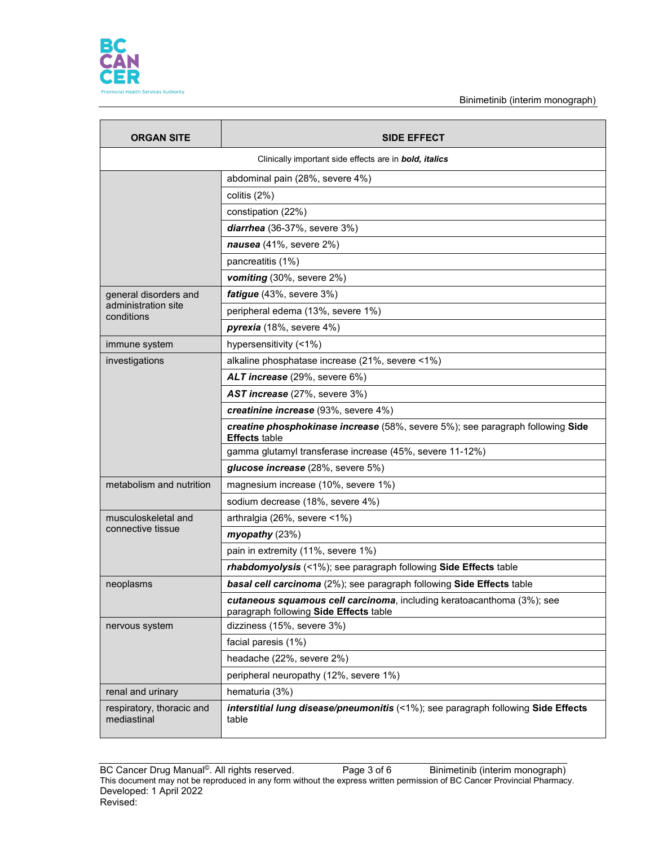

Binimetinib (interim monograph)

| <b>ORGAN SITE</b>                                             | <b>SIDE EFFECT</b>                                                                                               |  |  |  |
|---------------------------------------------------------------|------------------------------------------------------------------------------------------------------------------|--|--|--|
| Clinically important side effects are in <b>bold, italics</b> |                                                                                                                  |  |  |  |
|                                                               | abdominal pain (28%, severe 4%)                                                                                  |  |  |  |
|                                                               | colitis (2%)                                                                                                     |  |  |  |
|                                                               | constipation (22%)                                                                                               |  |  |  |
|                                                               | diarrhea (36-37%, severe 3%)                                                                                     |  |  |  |
|                                                               | nausea (41%, severe 2%)                                                                                          |  |  |  |
|                                                               | pancreatitis (1%)                                                                                                |  |  |  |
|                                                               | vomiting (30%, severe 2%)                                                                                        |  |  |  |
| general disorders and                                         | fatigue (43%, severe 3%)                                                                                         |  |  |  |
| administration site<br>conditions                             | peripheral edema (13%, severe 1%)                                                                                |  |  |  |
|                                                               | pyrexia (18%, severe 4%)                                                                                         |  |  |  |
| immune system                                                 | hypersensitivity (<1%)                                                                                           |  |  |  |
| investigations                                                | alkaline phosphatase increase (21%, severe <1%)                                                                  |  |  |  |
|                                                               | ALT increase (29%, severe 6%)                                                                                    |  |  |  |
|                                                               | AST increase (27%, severe 3%)                                                                                    |  |  |  |
|                                                               | creatinine increase (93%, severe 4%)                                                                             |  |  |  |
|                                                               | creatine phosphokinase increase (58%, severe 5%); see paragraph following Side<br><b>Effects table</b>           |  |  |  |
|                                                               | gamma glutamyl transferase increase (45%, severe 11-12%)                                                         |  |  |  |
|                                                               | glucose increase (28%, severe 5%)                                                                                |  |  |  |
| metabolism and nutrition                                      | magnesium increase (10%, severe 1%)                                                                              |  |  |  |
|                                                               | sodium decrease (18%, severe 4%)                                                                                 |  |  |  |
| musculoskeletal and                                           | arthralgia (26%, severe <1%)                                                                                     |  |  |  |
| connective tissue                                             | myopathy (23%)                                                                                                   |  |  |  |
|                                                               | pain in extremity (11%, severe 1%)                                                                               |  |  |  |
|                                                               | rhabdomyolysis (<1%); see paragraph following Side Effects table                                                 |  |  |  |
| neoplasms                                                     | basal cell carcinoma (2%); see paragraph following Side Effects table                                            |  |  |  |
|                                                               | cutaneous squamous cell carcinoma, including keratoacanthoma (3%); see<br>paragraph following Side Effects table |  |  |  |
| nervous system                                                | dizziness (15%, severe 3%)                                                                                       |  |  |  |
|                                                               | facial paresis (1%)                                                                                              |  |  |  |
|                                                               | headache (22%, severe 2%)                                                                                        |  |  |  |
|                                                               | peripheral neuropathy (12%, severe 1%)                                                                           |  |  |  |
| renal and urinary                                             | hematuria (3%)                                                                                                   |  |  |  |
| respiratory, thoracic and<br>mediastinal                      | interstitial lung disease/pneumonitis (<1%); see paragraph following Side Effects<br>table                       |  |  |  |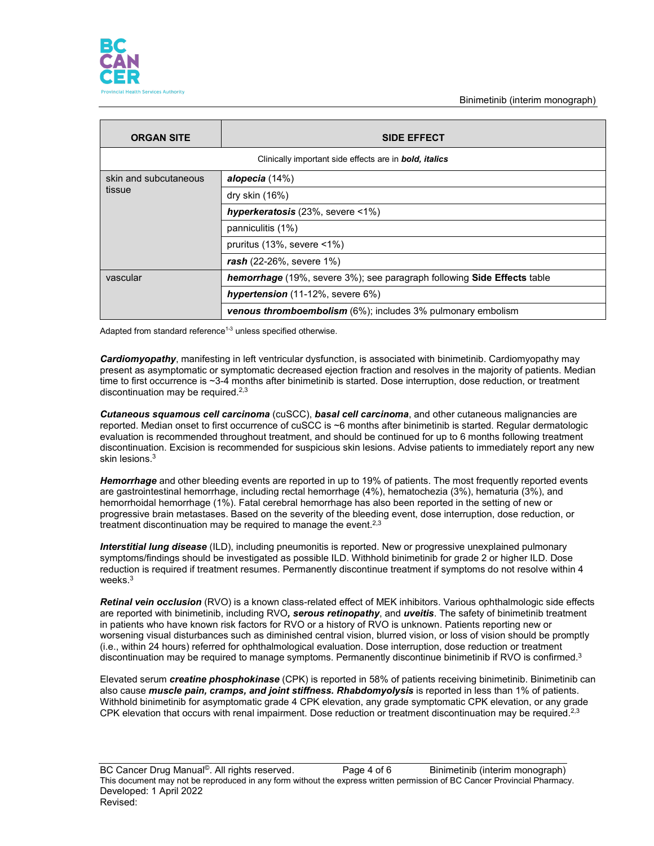

| <b>ORGAN SITE</b>               | <b>SIDE EFFECT</b>                                                                    |  |
|---------------------------------|---------------------------------------------------------------------------------------|--|
|                                 | Clinically important side effects are in <b>bold, italics</b>                         |  |
| skin and subcutaneous<br>tissue | alopecia $(14%)$                                                                      |  |
|                                 | dry skin (16%)                                                                        |  |
|                                 | hyperkeratosis (23%, severe <1%)                                                      |  |
|                                 | panniculitis (1%)                                                                     |  |
|                                 | pruritus $(13\% ,$ severe $\leq 1\%)$                                                 |  |
|                                 | $rash (22-26\%, severe 1\%)$                                                          |  |
| vascular                        | <b>hemorrhage</b> (19%, severe 3%); see paragraph following <b>Side Effects</b> table |  |
|                                 | <b>hypertension</b> $(11-12\% , \text{ severe } 6\%)$                                 |  |
|                                 | <b>venous thromboembolism</b> (6%); includes 3% pulmonary embolism                    |  |

Adapted from standard reference<sup>1-3</sup> unless specified otherwise.

*Cardiomyopathy*, manifesting in left ventricular dysfunction, is associated with binimetinib. Cardiomyopathy may present as asymptomatic or symptomatic decreased ejection fraction and resolves in the majority of patients. Median time to first occurrence is ~3-4 months after binimetinib is started. Dose interruption, dose reduction, or treatment discontinuation may be required.2,3

*Cutaneous squamous cell carcinoma* (cuSCC), *basal cell carcinoma*, and other cutaneous malignancies are reported. Median onset to first occurrence of cuSCC is ~6 months after binimetinib is started. Regular dermatologic evaluation is recommended throughout treatment, and should be continued for up to 6 months following treatment discontinuation. Excision is recommended for suspicious skin lesions. Advise patients to immediately report any new skin lesions. 3

*Hemorrhage* and other bleeding events are reported in up to 19% of patients. The most frequently reported events are gastrointestinal hemorrhage, including rectal hemorrhage (4%), hematochezia (3%), hematuria (3%), and hemorrhoidal hemorrhage (1%). Fatal cerebral hemorrhage has also been reported in the setting of new or progressive brain metastases. Based on the severity of the bleeding event, dose interruption, dose reduction, or treatment discontinuation may be required to manage the event. $^{\rm 2,3}$ 

*Interstitial lung disease* (ILD), including pneumonitis is reported. New or progressive unexplained pulmonary symptoms/findings should be investigated as possible ILD. Withhold binimetinib for grade 2 or higher ILD. Dose reduction is required if treatment resumes. Permanently discontinue treatment if symptoms do not resolve within 4 weeks.3

*Retinal vein occlusion* (RVO) is a known class-related effect of MEK inhibitors. Various ophthalmologic side effects are reported with binimetinib, including RVO*, serous retinopathy*, and *uveitis*. The safety of binimetinib treatment in patients who have known risk factors for RVO or a history of RVO is unknown. Patients reporting new or worsening visual disturbances such as diminished central vision, blurred vision, or loss of vision should be promptly (i.e., within 24 hours) referred for ophthalmological evaluation. Dose interruption, dose reduction or treatment discontinuation may be required to manage symptoms. Permanently discontinue binimetinib if RVO is confirmed.<sup>3</sup>

Elevated serum *creatine phosphokinase* (CPK) is reported in 58% of patients receiving binimetinib. Binimetinib can also cause *muscle pain, cramps, and joint stiffness. Rhabdomyolysis* is reported in less than 1% of patients. Withhold binimetinib for asymptomatic grade 4 CPK elevation, any grade symptomatic CPK elevation, or any grade CPK elevation that occurs with renal impairment. Dose reduction or treatment discontinuation may be required.<sup>2,3</sup>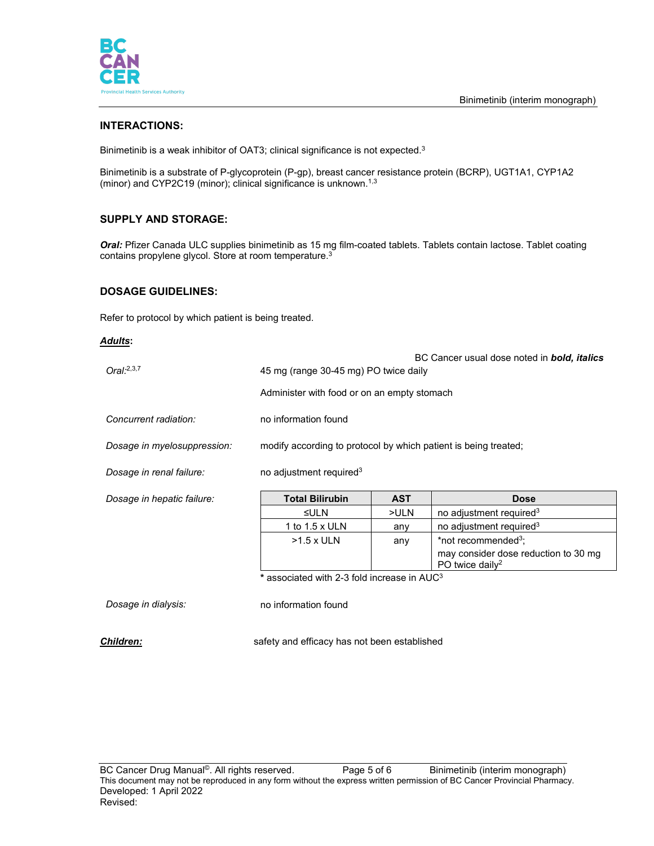

# **INTERACTIONS:**

Binimetinib is a weak inhibitor of OAT3; clinical significance is not expected.3

Binimetinib is a substrate of P-glycoprotein (P-gp), breast cancer resistance protein (BCRP), UGT1A1, CYP1A2 (minor) and CYP2C19 (minor); clinical significance is unknown.<sup>1,3</sup>

# **SUPPLY AND STORAGE:**

*Oral:* Pfizer Canada ULC supplies binimetinib as 15 mg film-coated tablets. Tablets contain lactose. Tablet coating contains propylene glycol. Store at room temperature.3

### **DOSAGE GUIDELINES:**

Refer to protocol by which patient is being treated.

### *Adults***:**

| $Oral:^{2,3,7}$             | BC Cancer usual dose noted in <b>bold, italics</b><br>45 mg (range 30-45 mg) PO twice daily |            |                                      |  |  |
|-----------------------------|---------------------------------------------------------------------------------------------|------------|--------------------------------------|--|--|
|                             | Administer with food or on an empty stomach                                                 |            |                                      |  |  |
| Concurrent radiation:       | no information found                                                                        |            |                                      |  |  |
| Dosage in myelosuppression: | modify according to protocol by which patient is being treated;                             |            |                                      |  |  |
| Dosage in renal failure:    | no adjustment required <sup>3</sup>                                                         |            |                                      |  |  |
| Dosage in hepatic failure:  | <b>Total Bilirubin</b>                                                                      | <b>AST</b> | <b>Dose</b>                          |  |  |
|                             | ≤ULN                                                                                        | >ULN       | no adjustment required <sup>3</sup>  |  |  |
|                             | 1 to $1.5 \times$ ULN                                                                       | any        | no adjustment required <sup>3</sup>  |  |  |
|                             | $>1.5$ x ULN                                                                                | any        | *not recommended <sup>3</sup> :      |  |  |
|                             |                                                                                             |            | may consider dose reduction to 30 mg |  |  |

**\*** associated with 2-3 fold increase in AUC3

PO twice daily<sup>2</sup>

**Dosage in dialysis:** no information found

**Children:** Safety and efficacy has not been established